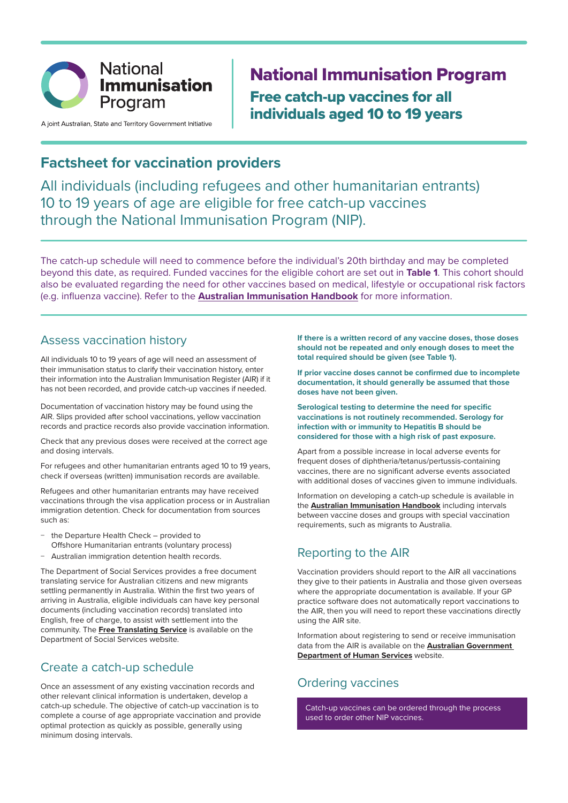

A joint Australian, State and Territory Government Initiative

# National Immunisation Program Free catch-up vaccines for all individuals aged 10 to 19 years

## **Factsheet for vaccination providers**

All individuals (including refugees and other humanitarian entrants) 10 to 19 years of age are eligible for free catch-up vaccines through the National Immunisation Program (NIP).

The catch-up schedule will need to commence before the individual's 20th birthday and may be completed beyond this date, as required. Funded vaccines for the eligible cohort are set out in **Table 1**. This cohort should also be evaluated regarding the need for other vaccines based on medical, lifestyle or occupational risk factors (e.g. influenza vaccine). Refer to the **Australian Immunisation Handbook** for more information.

#### Assess vaccination history

All individuals 10 to 19 years of age will need an assessment of their immunisation status to clarify their vaccination history, enter their information into the Australian Immunisation Register (AIR) if it has not been recorded, and provide catch-up vaccines if needed.

Documentation of vaccination history may be found using the AIR. Slips provided after school vaccinations, yellow vaccination records and practice records also provide vaccination information.

Check that any previous doses were received at the correct age and dosing intervals.

For refugees and other humanitarian entrants aged 10 to 19 years, check if overseas (written) immunisation records are available.

Refugees and other humanitarian entrants may have received vaccinations through the visa application process or in Australian immigration detention. Check for documentation from sources such as:

- − the Departure Health Check provided to Offshore Humanitarian entrants (voluntary process)
- − Australian immigration detention health records.

The Department of Social Services provides a free document translating service for Australian citizens and new migrants settling permanently in Australia. Within the first two years of arriving in Australia, eligible individuals can have key personal documents (including vaccination records) translated into English, free of charge, to assist with settlement into the community. The **Free Translating Service** is available on the Department of Social Services website.

#### Create a catch-up schedule

Once an assessment of any existing vaccination records and other relevant clinical information is undertaken, develop a catch-up schedule. The objective of catch-up vaccination is to complete a course of age appropriate vaccination and provide optimal protection as quickly as possible, generally using minimum dosing intervals.

**If there is a written record of any vaccine doses, those doses should not be repeated and only enough doses to meet the total required should be given (see Table 1).** 

**If prior vaccine doses cannot be confirmed due to incomplete documentation, it should generally be assumed that those doses have not been given.** 

**Serological testing to determine the need for specific vaccinations is not routinely recommended. Serology for infection with or immunity to Hepatitis B should be considered for those with a high risk of past exposure.**

Apart from a possible increase in local adverse events for frequent doses of diphtheria/tetanus/pertussis-containing vaccines, there are no significant adverse events associated with additional doses of vaccines given to immune individuals.

Information on developing a catch-up schedule is available in the **Australian Immunisation Handbook** including intervals between vaccine doses and groups with special vaccination requirements, such as migrants to Australia.

#### Reporting to the AIR

Vaccination providers should report to the AIR all vaccinations they give to their patients in Australia and those given overseas where the appropriate documentation is available. If your GP practice software does not automatically report vaccinations to the AIR, then you will need to report these vaccinations directly using the AIR site.

Information about registering to send or receive immunisation data from the AIR is available on the **Australian Government Department of Human Services** website.

#### Ordering vaccines

Catch-up vaccines can be ordered through the process used to order other NIP vaccines.